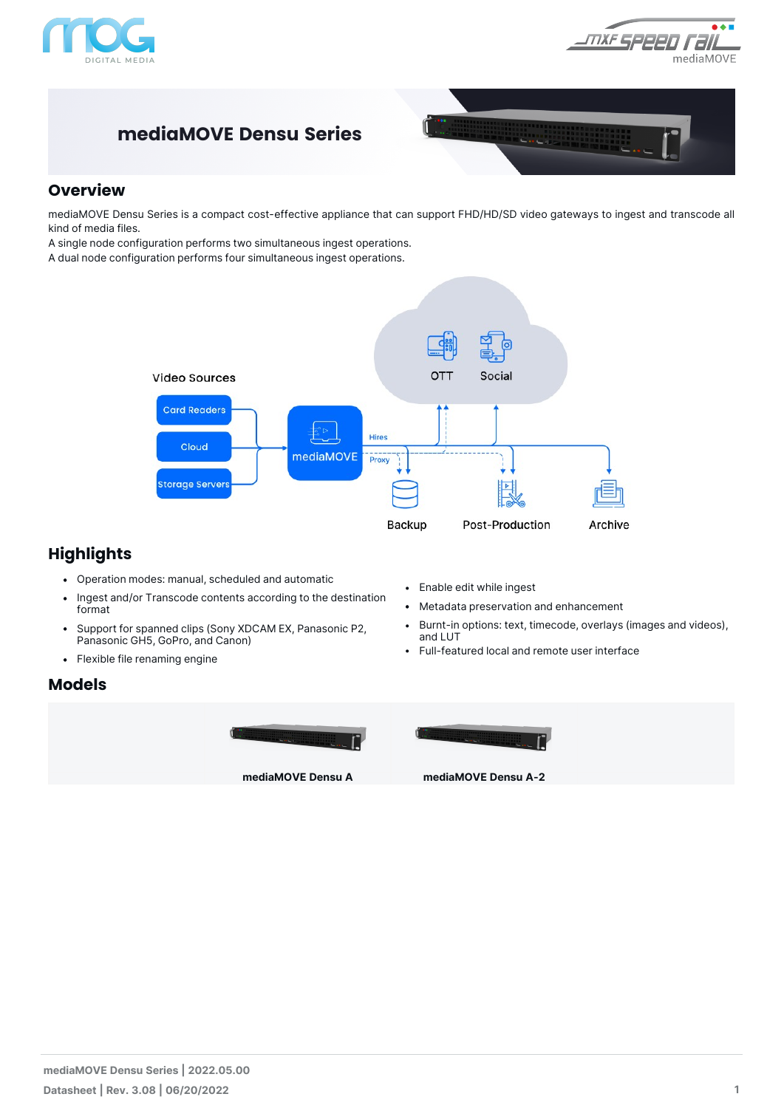

 $\overline{\bullet\bullet\blacksquare}$ MXF SPPP mediaMOVE

## **mediaMOVE Densu Series**



#### **Overview**

mediaMOVE Densu Series is a compact cost-effective appliance that can support FHD/HD/SD video gateways to ingest and transcode all kind of media files.

A single node configuration performs two simultaneous ingest operations.

A dual node configuration performs four simultaneous ingest operations.



### **Highlights**

- Operation modes: manual, scheduled and automatic
- Ingest and/or Transcode contents according to the destination format
- Support for spanned clips (Sony XDCAM EX, Panasonic P2, Panasonic GH5, GoPro, and Canon)
- Flexible file renaming engine

#### **Models**





- Metadata preservation and enhancement
- Burnt-in options: text, timecode, overlays (images and videos), and LUT
- Full-featured local and remote user interface



**mediaMOVE Densu A mediaMOVE Densu A-2**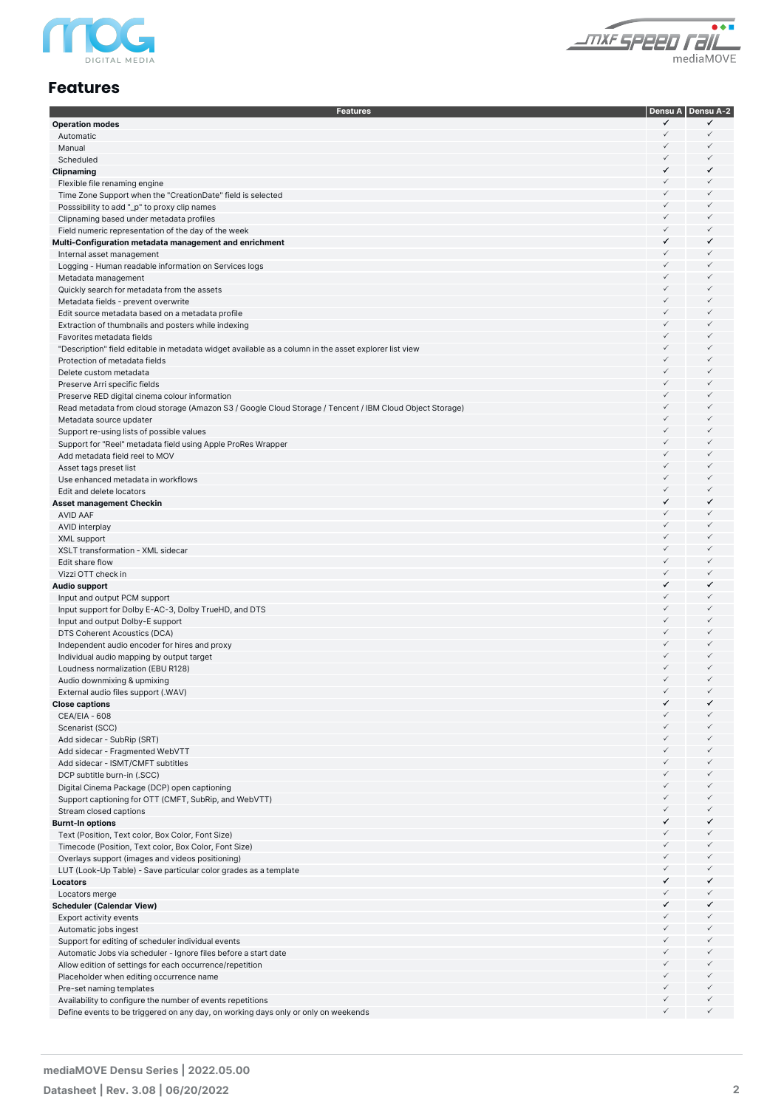

 $\overline{\bullet}\overline{\bullet}\overline{\bullet}$ THE SPEED TELL

#### **Features**

| <b>Features</b>                                                                                          |                              | Densu A   Densu A-2          |
|----------------------------------------------------------------------------------------------------------|------------------------------|------------------------------|
| <b>Operation modes</b>                                                                                   | ✓                            | ✓                            |
| Automatic                                                                                                | $\checkmark$                 | $\checkmark$                 |
| Manual                                                                                                   | $\checkmark$                 | $\checkmark$                 |
| Scheduled                                                                                                | $\checkmark$                 | $\checkmark$                 |
| Clipnaming                                                                                               | ✓                            | ✓                            |
| Flexible file renaming engine                                                                            | $\checkmark$                 | $\checkmark$                 |
| Time Zone Support when the "CreationDate" field is selected                                              | $\checkmark$                 | $\checkmark$                 |
| Posssibility to add "_p" to proxy clip names                                                             | $\checkmark$                 | $\checkmark$                 |
| Clipnaming based under metadata profiles                                                                 | $\checkmark$                 | $\checkmark$                 |
| Field numeric representation of the day of the week                                                      | $\checkmark$                 | $\checkmark$                 |
| Multi-Configuration metadata management and enrichment                                                   | ✓                            | ✓                            |
| Internal asset management                                                                                | $\checkmark$                 | $\checkmark$                 |
| Logging - Human readable information on Services logs                                                    | $\checkmark$                 | $\checkmark$                 |
| Metadata management                                                                                      | $\checkmark$                 | $\checkmark$                 |
| Quickly search for metadata from the assets                                                              | $\checkmark$                 | $\checkmark$                 |
| Metadata fields - prevent overwrite                                                                      | $\checkmark$                 | $\checkmark$                 |
| Edit source metadata based on a metadata profile                                                         | $\checkmark$                 | $\checkmark$                 |
| Extraction of thumbnails and posters while indexing                                                      | $\checkmark$                 | $\checkmark$                 |
| Favorites metadata fields                                                                                | $\checkmark$                 | $\checkmark$                 |
| "Description" field editable in metadata widget available as a column in the asset explorer list view    | $\checkmark$                 | $\checkmark$                 |
| Protection of metadata fields                                                                            | $\checkmark$                 | $\checkmark$                 |
| Delete custom metadata                                                                                   | $\checkmark$<br>$\checkmark$ | $\checkmark$<br>$\checkmark$ |
| Preserve Arri specific fields                                                                            |                              |                              |
| Preserve RED digital cinema colour information                                                           | $\checkmark$                 | $\checkmark$                 |
| Read metadata from cloud storage (Amazon S3 / Google Cloud Storage / Tencent / IBM Cloud Object Storage) | $\checkmark$                 | $\checkmark$                 |
| Metadata source updater                                                                                  | $\checkmark$                 | $\checkmark$                 |
| Support re-using lists of possible values                                                                | $\checkmark$                 | $\checkmark$                 |
| Support for "Reel" metadata field using Apple ProRes Wrapper                                             | $\checkmark$                 | $\checkmark$                 |
| Add metadata field reel to MOV                                                                           | $\checkmark$                 | $\checkmark$                 |
| Asset tags preset list                                                                                   | $\checkmark$                 | $\checkmark$                 |
| Use enhanced metadata in workflows                                                                       | $\checkmark$                 | $\checkmark$                 |
| Edit and delete locators                                                                                 | $\checkmark$<br>✓            | $\checkmark$                 |
| Asset management Checkin                                                                                 | $\checkmark$                 | ✓                            |
| <b>AVID AAF</b>                                                                                          | $\checkmark$                 | $\checkmark$<br>$\checkmark$ |
| <b>AVID</b> interplay                                                                                    | $\checkmark$                 | $\checkmark$                 |
| XML support                                                                                              | $\checkmark$                 | $\checkmark$                 |
| XSLT transformation - XML sidecar                                                                        | $\checkmark$                 |                              |
| Edit share flow                                                                                          |                              | $\checkmark$                 |
| Vizzi OTT check in                                                                                       | $\checkmark$                 | $\checkmark$                 |
| <b>Audio support</b>                                                                                     | ✓<br>$\checkmark$            | ✓<br>$\checkmark$            |
| Input and output PCM support                                                                             | $\checkmark$                 | $\checkmark$                 |
| Input support for Dolby E-AC-3, Dolby TrueHD, and DTS                                                    | $\checkmark$                 | $\checkmark$                 |
| Input and output Dolby-E support                                                                         | $\checkmark$                 | $\checkmark$                 |
| DTS Coherent Acoustics (DCA)                                                                             | $\checkmark$                 | $\checkmark$                 |
| Independent audio encoder for hires and proxy                                                            | $\checkmark$                 | $\checkmark$                 |
| Individual audio mapping by output target                                                                | $\checkmark$                 | $\checkmark$                 |
| Loudness normalization (EBU R128)                                                                        | $\checkmark$                 | $\checkmark$                 |
| Audio downmixing & upmixing                                                                              | $\checkmark$                 | $\checkmark$                 |
| External audio files support (.WAV)                                                                      | ✓                            | ✓                            |
| <b>Close captions</b>                                                                                    | $\checkmark$                 | $\checkmark$                 |
| CEA/EIA - 608<br>Scenarist (SCC)                                                                         | $\checkmark$                 | $\checkmark$                 |
| Add sidecar - SubRip (SRT)                                                                               | $\checkmark$                 | $\checkmark$                 |
|                                                                                                          | $\checkmark$                 | $\checkmark$                 |
| Add sidecar - Fragmented WebVTT<br>Add sidecar - ISMT/CMFT subtitles                                     | $\checkmark$                 | $\checkmark$                 |
| DCP subtitle burn-in (.SCC)                                                                              | $\checkmark$                 | $\checkmark$                 |
| Digital Cinema Package (DCP) open captioning                                                             | $\checkmark$                 | $\checkmark$                 |
| Support captioning for OTT (CMFT, SubRip, and WebVTT)                                                    | $\checkmark$                 | $\checkmark$                 |
| Stream closed captions                                                                                   | $\checkmark$                 | $\checkmark$                 |
| <b>Burnt-In options</b>                                                                                  | ✓                            | ✓                            |
| Text (Position, Text color, Box Color, Font Size)                                                        | $\checkmark$                 | $\checkmark$                 |
| Timecode (Position, Text color, Box Color, Font Size)                                                    | $\checkmark$                 | $\checkmark$                 |
| Overlays support (images and videos positioning)                                                         | $\checkmark$                 | $\checkmark$                 |
| LUT (Look-Up Table) - Save particular color grades as a template                                         | $\checkmark$                 | $\checkmark$                 |
| Locators                                                                                                 | ✓                            | ✓                            |
| Locators merge                                                                                           | $\checkmark$                 | $\checkmark$                 |
| <b>Scheduler (Calendar View)</b>                                                                         | ✓                            | ✓                            |
| Export activity events                                                                                   | $\checkmark$                 | $\checkmark$                 |
| Automatic jobs ingest                                                                                    | $\checkmark$                 | $\checkmark$                 |
| Support for editing of scheduler individual events                                                       | $\checkmark$                 | $\checkmark$                 |
| Automatic Jobs via scheduler - Ignore files before a start date                                          | $\checkmark$                 | $\checkmark$                 |
| Allow edition of settings for each occurrence/repetition                                                 | $\checkmark$                 | $\checkmark$                 |
| Placeholder when editing occurrence name                                                                 | $\checkmark$                 | $\checkmark$                 |
| Pre-set naming templates                                                                                 | $\checkmark$                 | $\checkmark$                 |
| Availability to configure the number of events repetitions                                               | $\checkmark$                 | $\checkmark$                 |
| Define events to be triggered on any day, on working days only or only on weekends                       | $\checkmark$                 | $\checkmark$                 |
|                                                                                                          |                              |                              |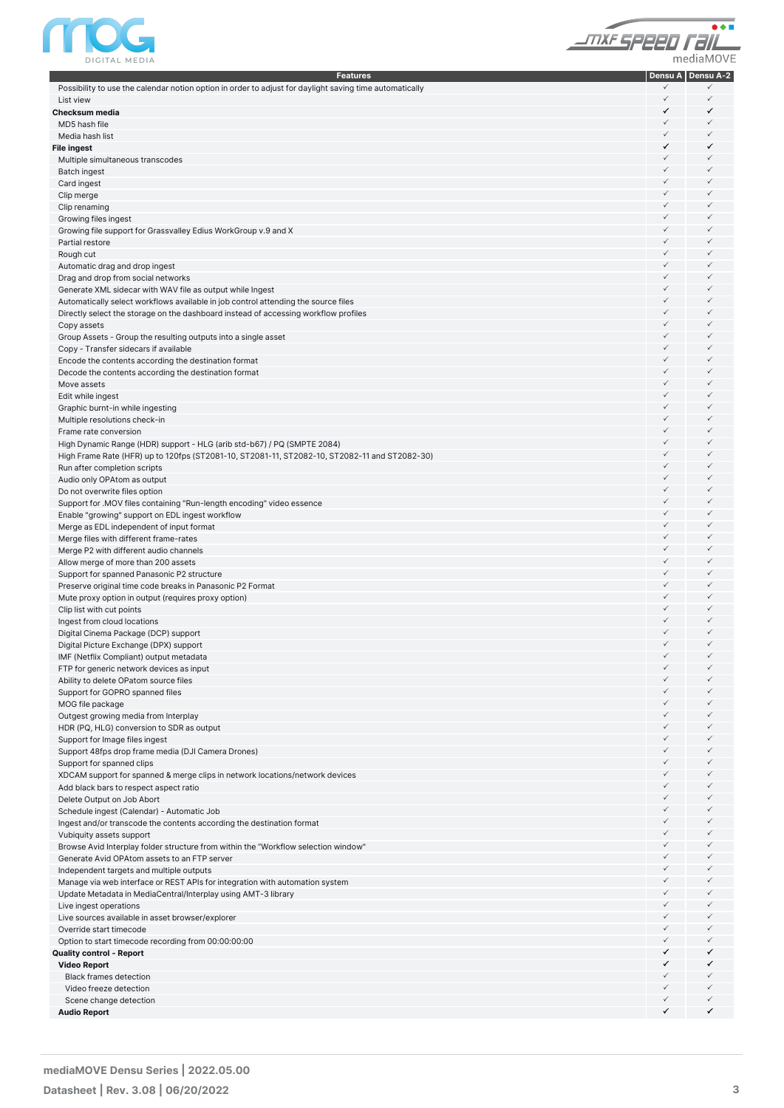



| <b>Features</b>                                                                                                        |              | Densu A   Densu A-2 |
|------------------------------------------------------------------------------------------------------------------------|--------------|---------------------|
| Possibility to use the calendar notion option in order to adjust for daylight saving time automatically                | ✓            |                     |
| List view                                                                                                              | ✓            | ✓                   |
| Checksum media                                                                                                         | ✓            | ✓                   |
| MD5 hash file                                                                                                          | $\checkmark$ | ✓                   |
| Media hash list                                                                                                        | $\checkmark$ | $\checkmark$        |
| File ingest                                                                                                            | ✓            | ✓                   |
| Multiple simultaneous transcodes                                                                                       | ✓            | ✓                   |
| <b>Batch ingest</b>                                                                                                    | ✓            | ✓                   |
| Card ingest                                                                                                            | ✓            | ✓                   |
| Clip merge                                                                                                             | ✓            | ✓                   |
| Clip renaming                                                                                                          | ✓            | ✓                   |
| Growing files ingest                                                                                                   | ✓            | ✓                   |
| Growing file support for Grassvalley Edius WorkGroup v.9 and X                                                         | ✓            | ✓                   |
| Partial restore                                                                                                        | ✓            | ✓                   |
| Rough cut                                                                                                              | ✓            | ✓                   |
| Automatic drag and drop ingest                                                                                         | ✓            | ✓                   |
| Drag and drop from social networks                                                                                     | ✓            | ✓                   |
| Generate XML sidecar with WAV file as output while Ingest                                                              | ✓            | ✓                   |
| Automatically select workflows available in job control attending the source files                                     | ✓            | ✓                   |
| Directly select the storage on the dashboard instead of accessing workflow profiles                                    | ✓            | ✓                   |
| Copy assets                                                                                                            | ✓            | ✓                   |
| Group Assets - Group the resulting outputs into a single asset                                                         | ✓            | ✓                   |
| Copy - Transfer sidecars if available                                                                                  | ✓            | ✓                   |
| Encode the contents according the destination format                                                                   | ✓            | ✓                   |
| Decode the contents according the destination format                                                                   | ✓            | ✓                   |
| Move assets                                                                                                            | ✓            | ✓                   |
| Edit while ingest                                                                                                      | ✓            | ✓<br>✓              |
| Graphic burnt-in while ingesting                                                                                       | ✓<br>✓       | ✓                   |
| Multiple resolutions check-in                                                                                          |              | ✓                   |
| Frame rate conversion                                                                                                  | ✓            |                     |
| High Dynamic Range (HDR) support - HLG (arib std-b67) / PQ (SMPTE 2084)                                                | ✓<br>✓       | ✓<br>✓              |
| High Frame Rate (HFR) up to 120fps (ST2081-10, ST2081-11, ST2082-10, ST2082-11 and ST2082-30)                          |              | ✓                   |
| Run after completion scripts                                                                                           | ✓<br>✓       | ✓                   |
| Audio only OPAtom as output                                                                                            |              |                     |
| Do not overwrite files option                                                                                          | ✓<br>✓       | ✓<br>✓              |
| Support for .MOV files containing "Run-length encoding" video essence                                                  |              |                     |
| Enable "growing" support on EDL ingest workflow                                                                        | ✓            | ✓<br>✓              |
| Merge as EDL independent of input format                                                                               | ✓            |                     |
| Merge files with different frame-rates                                                                                 | ✓            | ✓                   |
| Merge P2 with different audio channels                                                                                 | ✓            | ✓                   |
| Allow merge of more than 200 assets                                                                                    | ✓            | ✓                   |
| Support for spanned Panasonic P2 structure                                                                             | $\checkmark$ | ✓                   |
| Preserve original time code breaks in Panasonic P2 Format                                                              | ✓            | ✓                   |
| Mute proxy option in output (requires proxy option)                                                                    | ✓            | ✓                   |
| Clip list with cut points                                                                                              | ✓            | ✓                   |
| Ingest from cloud locations                                                                                            | ✓<br>✓       | ✓<br>✓              |
| Digital Cinema Package (DCP) support                                                                                   | $\checkmark$ | $\checkmark$        |
| Digital Picture Exchange (DPX) support                                                                                 |              |                     |
| IMF (Netflix Compliant) output metadata                                                                                | ✓<br>✓       | $\checkmark$<br>✓   |
| FTP for generic network devices as input                                                                               |              | ✓                   |
| Ability to delete OPatom source files                                                                                  | ✓            | ✓                   |
| Support for GOPRO spanned files                                                                                        | ✓            | ✓                   |
| MOG file package                                                                                                       |              | ✓                   |
| Outgest growing media from Interplay                                                                                   | ✓            | ✓                   |
| HDR (PQ, HLG) conversion to SDR as output                                                                              | ✓            | ✓                   |
| Support for Image files ingest                                                                                         | ✓            | ✓                   |
| Support 48fps drop frame media (DJI Camera Drones)                                                                     | ✓            | ✓                   |
| Support for spanned clips                                                                                              | ✓            | ✓                   |
| XDCAM support for spanned & merge clips in network locations/network devices<br>Add black bars to respect aspect ratio | ✓            | ✓                   |
|                                                                                                                        | ✓            | ✓                   |
| Delete Output on Job Abort                                                                                             | ✓            | ✓                   |
| Schedule ingest (Calendar) - Automatic Job<br>Ingest and/or transcode the contents according the destination format    | ✓            | ✓                   |
|                                                                                                                        | ✓            | ✓                   |
| Vubiquity assets support<br>Browse Avid Interplay folder structure from within the "Workflow selection window"         | ✓            | ✓                   |
| Generate Avid OPAtom assets to an FTP server                                                                           | ✓            | ✓                   |
| Independent targets and multiple outputs                                                                               | ✓            | ✓                   |
| Manage via web interface or REST APIs for integration with automation system                                           | ✓            | ✓                   |
| Update Metadata in MediaCentral/Interplay using AMT-3 library                                                          | ✓            | ✓                   |
| Live ingest operations                                                                                                 | ✓            | ✓                   |
| Live sources available in asset browser/explorer                                                                       | ✓            | ✓                   |
| Override start timecode                                                                                                | ✓            | ✓                   |
| Option to start timecode recording from 00:00:00:00                                                                    | ✓            | ✓                   |
| Quality control - Report                                                                                               | ✓            | ✓                   |
| <b>Video Report</b>                                                                                                    | ✓            | ✓                   |
| <b>Black frames detection</b>                                                                                          | ✓            | ✓                   |
| Video freeze detection                                                                                                 | ✓            | ✓                   |
| Scene change detection                                                                                                 | ✓            | ✓                   |
| <b>Audio Report</b>                                                                                                    | ✓            | ✓                   |
|                                                                                                                        |              |                     |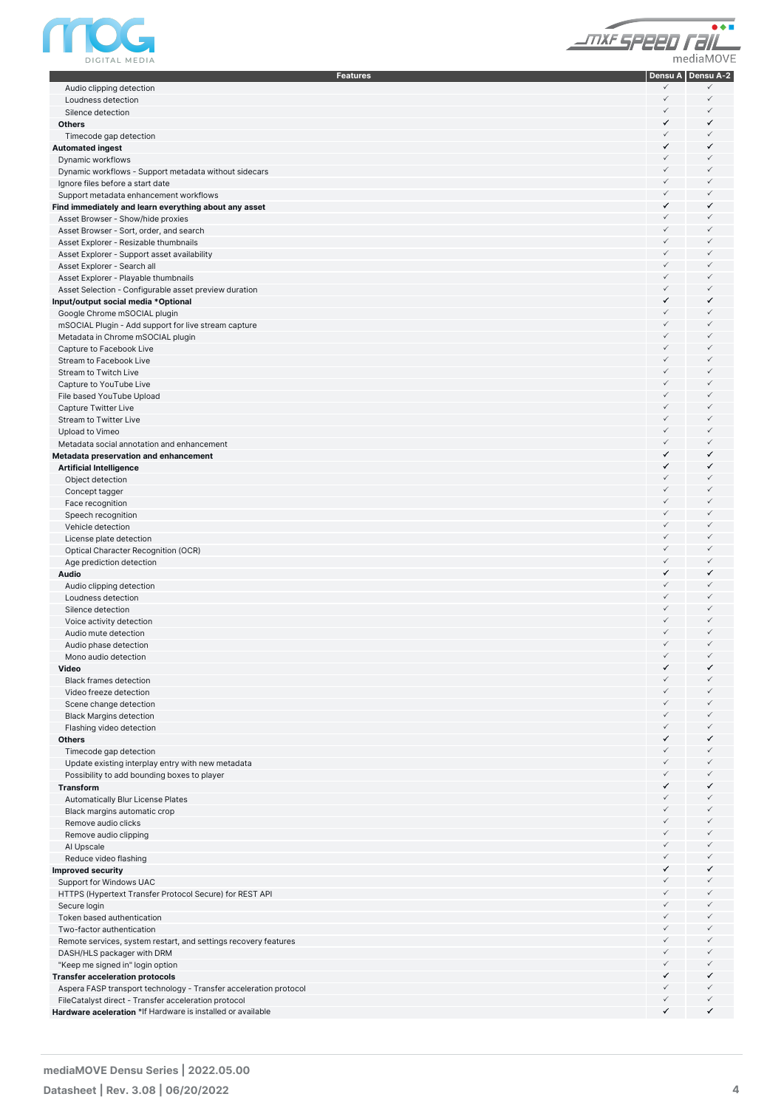

| JNXF SPEED Fall |  |
|-----------------|--|
| mediaMOVE       |  |

| <b>Features</b>                                                   |              | Densu A Densu A-2 |
|-------------------------------------------------------------------|--------------|-------------------|
| Audio clipping detection                                          | ✓            | ✓                 |
| Loudness detection                                                | ✓            | $\checkmark$      |
| Silence detection                                                 | $\checkmark$ | $\checkmark$      |
| <b>Others</b>                                                     | ✓            | ✓                 |
| Timecode gap detection                                            | $\checkmark$ | $\checkmark$      |
| <b>Automated ingest</b>                                           | ✓            | ✓                 |
| Dynamic workflows                                                 | $\checkmark$ | $\checkmark$      |
| Dynamic workflows - Support metadata without sidecars             | ✓            | $\checkmark$      |
| Ignore files before a start date                                  | $\checkmark$ | $\checkmark$      |
| Support metadata enhancement workflows                            | $\checkmark$ | $\checkmark$      |
| Find immediately and learn everything about any asset             | ✓            | ✓                 |
| Asset Browser - Show/hide proxies                                 | ✓            | $\checkmark$      |
| Asset Browser - Sort, order, and search                           | $\checkmark$ | $\checkmark$      |
| Asset Explorer - Resizable thumbnails                             | ✓            | $\checkmark$      |
| Asset Explorer - Support asset availability                       | ✓            | $\checkmark$      |
| Asset Explorer - Search all                                       | ✓            | $\checkmark$      |
| Asset Explorer - Playable thumbnails                              | $\checkmark$ | $\checkmark$      |
| Asset Selection - Configurable asset preview duration             | $\checkmark$ | $\checkmark$      |
| Input/output social media *Optional                               | ✓            | ✓                 |
| Google Chrome mSOCIAL plugin                                      | ✓            | $\checkmark$      |
| mSOCIAL Plugin - Add support for live stream capture              | $\checkmark$ | $\checkmark$      |
| Metadata in Chrome mSOCIAL plugin                                 | ✓            | $\checkmark$      |
| Capture to Facebook Live                                          | ✓            | $\checkmark$      |
| <b>Stream to Facebook Live</b>                                    | ✓            | $\checkmark$      |
| <b>Stream to Twitch Live</b>                                      | ✓            | $\checkmark$      |
| Capture to YouTube Live                                           | ✓            | $\checkmark$      |
| File based YouTube Upload                                         | ✓            | $\checkmark$      |
| Capture Twitter Live                                              | ✓            | $\checkmark$      |
| Stream to Twitter Live                                            | $\checkmark$ | $\checkmark$      |
| Upload to Vimeo                                                   | $\checkmark$ | $\checkmark$      |
| Metadata social annotation and enhancement                        | $\checkmark$ | $\checkmark$      |
|                                                                   | ✓            | ✓                 |
| Metadata preservation and enhancement                             | ✓            | ✓                 |
| <b>Artificial Intelligence</b>                                    | $\checkmark$ | $\checkmark$      |
| Object detection                                                  | $\checkmark$ | $\checkmark$      |
| Concept tagger                                                    | ✓            | $\checkmark$      |
| Face recognition                                                  | ✓            | $\checkmark$      |
| Speech recognition                                                | ✓            | $\checkmark$      |
| Vehicle detection                                                 | ✓            | $\checkmark$      |
| License plate detection                                           | ✓            |                   |
| Optical Character Recognition (OCR)                               |              | $\checkmark$      |
| Age prediction detection                                          | $\checkmark$ | $\checkmark$      |
| Audio                                                             | ✓            | ✓                 |
| Audio clipping detection                                          | $\checkmark$ | $\checkmark$      |
| Loudness detection                                                | ✓            | $\checkmark$      |
| Silence detection                                                 | $\checkmark$ | $\checkmark$      |
| Voice activity detection                                          | ✓            | $\checkmark$      |
| Audio mute detection                                              | ✓            | $\checkmark$      |
| Audio phase detection                                             | $\checkmark$ | $\checkmark$      |
| Mono audio detection                                              | $\checkmark$ | $\checkmark$      |
| Video                                                             | ✓            | ✓                 |
| <b>Black frames detection</b>                                     | ✓            | ✓                 |
| Video freeze detection                                            | ✓            | ✓                 |
| Scene change detection                                            | ✓            | $\checkmark$      |
| <b>Black Margins detection</b>                                    | ✓            | ✓                 |
| Flashing video detection                                          | ✓            | ✓                 |
| <b>Others</b>                                                     | ✓            | ✓                 |
| Timecode gap detection                                            | $\checkmark$ | ✓                 |
| Update existing interplay entry with new metadata                 | ✓            | ✓                 |
| Possibility to add bounding boxes to player                       | $\checkmark$ | ✓                 |
| Transform                                                         | ✓            | ✓                 |
| Automatically Blur License Plates                                 | ✓            | ✓                 |
| Black margins automatic crop                                      | ✓            | ✓                 |
| Remove audio clicks                                               | ✓            | ✓                 |
| Remove audio clipping                                             | ✓            | ✓                 |
| Al Upscale                                                        | ✓            | ✓                 |
| Reduce video flashing                                             | ✓            | ✓                 |
| Improved security                                                 | ✓            | ✓                 |
| Support for Windows UAC                                           | ✓            | ✓                 |
| HTTPS (Hypertext Transfer Protocol Secure) for REST API           | ✓            | ✓                 |
| Secure login                                                      | ✓            | ✓                 |
| Token based authentication                                        | ✓            | ✓                 |
| Two-factor authentication                                         | ✓            | ✓                 |
| Remote services, system restart, and settings recovery features   | ✓            | ✓                 |
| DASH/HLS packager with DRM                                        | ✓            | ✓                 |
| "Keep me signed in" login option                                  | $\checkmark$ | ✓                 |
| <b>Transfer acceleration protocols</b>                            | ✓            | ✓                 |
| Aspera FASP transport technology - Transfer acceleration protocol | ✓            | ✓                 |
| FileCatalyst direct - Transfer acceleration protocol              | ✓            | $\checkmark$      |
| Hardware aceleration *If Hardware is installed or available       | ✓            | ✓                 |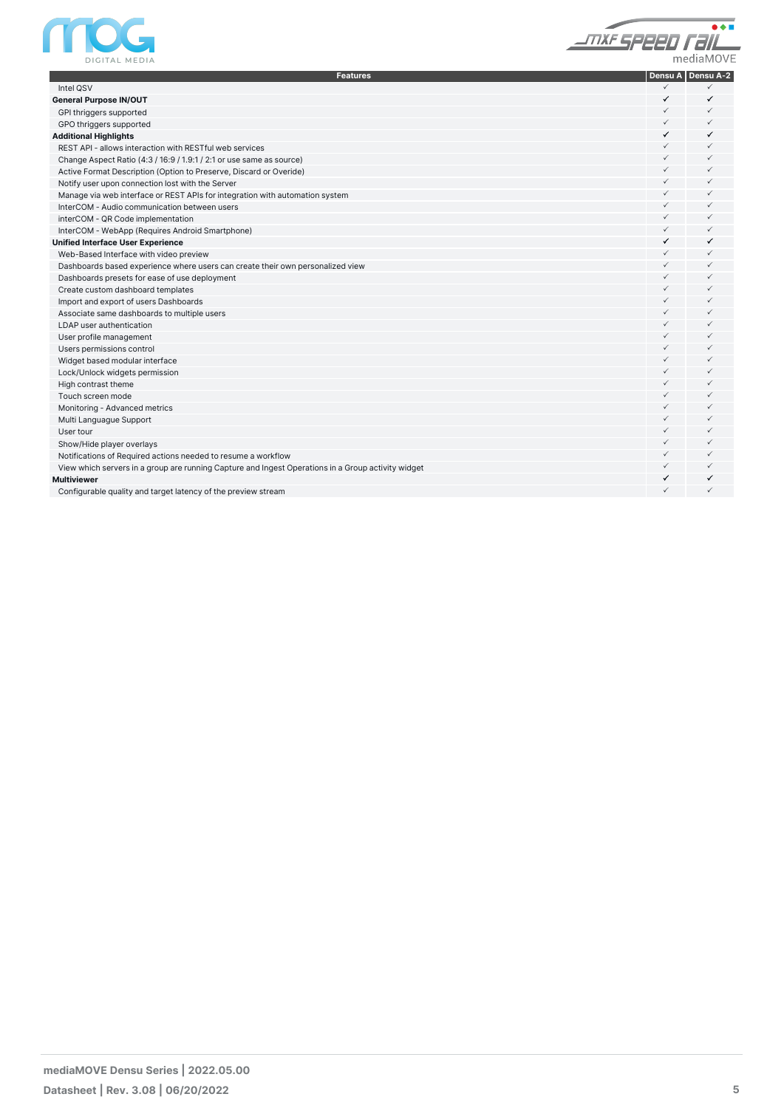



| <b>Features</b>                                                                                    |              | Densu A   Densu A-2 |
|----------------------------------------------------------------------------------------------------|--------------|---------------------|
| Intel QSV                                                                                          | ✓            | ✓                   |
| <b>General Purpose IN/OUT</b>                                                                      | ✓            | ✓                   |
| GPI thriggers supported                                                                            | ✓            | $\checkmark$        |
| GPO thriggers supported                                                                            | $\checkmark$ | $\checkmark$        |
| <b>Additional Highlights</b>                                                                       | ✓            | ✓                   |
| REST API - allows interaction with RESTful web services                                            | $\checkmark$ | $\checkmark$        |
| Change Aspect Ratio (4:3 / 16:9 / 1.9:1 / 2:1 or use same as source)                               | $\checkmark$ | $\checkmark$        |
| Active Format Description (Option to Preserve, Discard or Overide)                                 | ✓            | $\checkmark$        |
| Notify user upon connection lost with the Server                                                   | $\checkmark$ | $\checkmark$        |
| Manage via web interface or REST APIs for integration with automation system                       | $\checkmark$ | $\checkmark$        |
| InterCOM - Audio communication between users                                                       | $\checkmark$ | $\checkmark$        |
| interCOM - QR Code implementation                                                                  | $\checkmark$ | $\checkmark$        |
| InterCOM - WebApp (Requires Android Smartphone)                                                    | $\checkmark$ | $\checkmark$        |
| <b>Unified Interface User Experience</b>                                                           | ✓            | ✓                   |
| Web-Based Interface with video preview                                                             | $\checkmark$ | $\checkmark$        |
| Dashboards based experience where users can create their own personalized view                     | $\checkmark$ | $\checkmark$        |
| Dashboards presets for ease of use deployment                                                      | $\checkmark$ | $\checkmark$        |
| Create custom dashboard templates                                                                  | $\checkmark$ | $\checkmark$        |
| Import and export of users Dashboards                                                              | $\checkmark$ | $\checkmark$        |
| Associate same dashboards to multiple users                                                        | $\checkmark$ | $\checkmark$        |
| LDAP user authentication                                                                           | $\checkmark$ | $\checkmark$        |
| User profile management                                                                            | $\checkmark$ | $\checkmark$        |
| Users permissions control                                                                          | $\checkmark$ | $\checkmark$        |
| Widget based modular interface                                                                     | $\checkmark$ | $\checkmark$        |
| Lock/Unlock widgets permission                                                                     | $\checkmark$ | $\checkmark$        |
| High contrast theme                                                                                | $\checkmark$ | $\checkmark$        |
| Touch screen mode                                                                                  | $\checkmark$ | $\checkmark$        |
| Monitoring - Advanced metrics                                                                      | $\checkmark$ | $\checkmark$        |
| Multi Languague Support                                                                            | $\checkmark$ | $\checkmark$        |
| User tour                                                                                          | $\checkmark$ | $\checkmark$        |
| Show/Hide player overlays                                                                          | $\checkmark$ | $\checkmark$        |
| Notifications of Required actions needed to resume a workflow                                      | $\checkmark$ | $\checkmark$        |
| View which servers in a group are running Capture and Ingest Operations in a Group activity widget | $\checkmark$ | $\checkmark$        |
| Multiviewer                                                                                        | ✓            | ✓                   |
| Configurable quality and target latency of the preview stream                                      | ✓            | $\checkmark$        |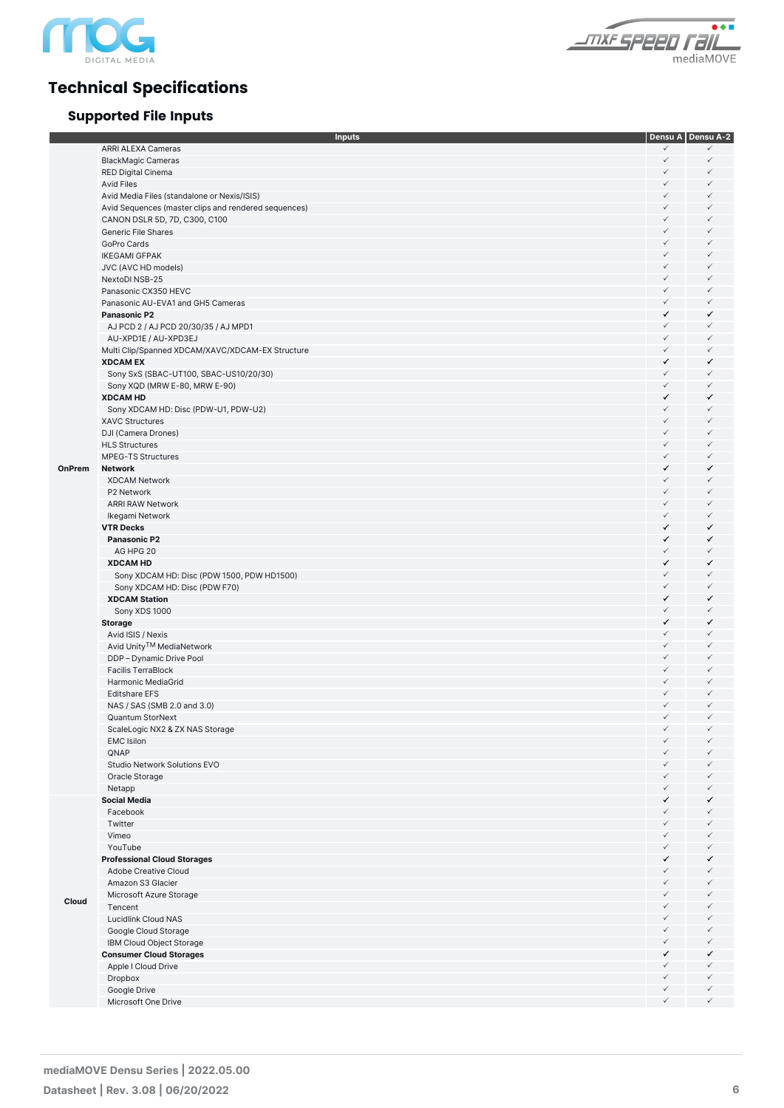

# **Technical Specifications**

## **Supported File Inputs**



|        | <b>Inputs</b>                                                       |                              | Densu A Densu A-2 |
|--------|---------------------------------------------------------------------|------------------------------|-------------------|
|        | ARRI ALEXA Cameras                                                  | $\checkmark$                 | ✓                 |
|        | <b>BlackMagic Cameras</b>                                           | $\checkmark$                 | $\checkmark$      |
|        | RED Digital Cinema                                                  | ✓                            | ✓                 |
|        | <b>Avid Files</b>                                                   | ✓                            | ✓                 |
|        | Avid Media Files (standalone or Nexis/ISIS)                         | $\checkmark$                 | ✓                 |
|        | Avid Sequences (master clips and rendered sequences)                | $\checkmark$                 | $\checkmark$      |
|        | CANON DSLR 5D, 7D, C300, C100                                       | $\checkmark$                 | ✓                 |
|        | Generic File Shares                                                 | $\checkmark$                 | $\checkmark$      |
|        | GoPro Cards                                                         | $\checkmark$                 | ✓                 |
|        | <b>IKEGAMI GFPAK</b>                                                | $\checkmark$                 | $\checkmark$      |
|        | JVC (AVC HD models)                                                 | $\checkmark$                 | ✓                 |
|        | NextoDI NSB-25                                                      | $\checkmark$                 | $\checkmark$      |
|        | Panasonic CX350 HEVC                                                | $\checkmark$                 | ✓                 |
|        | Panasonic AU-EVA1 and GH5 Cameras                                   | $\checkmark$                 | $\checkmark$      |
|        | <b>Panasonic P2</b>                                                 | ✓                            | ✓                 |
|        | AJ PCD 2 / AJ PCD 20/30/35 / AJ MPD1                                | $\checkmark$                 | $\checkmark$      |
|        | AU-XPD1E / AU-XPD3EJ                                                | $\checkmark$<br>$\checkmark$ | ✓<br>$\checkmark$ |
|        | Multi Clip/Spanned XDCAM/XAVC/XDCAM-EX Structure<br><b>XDCAM EX</b> | ✓                            | ✓                 |
|        | Sony SxS (SBAC-UT100, SBAC-US10/20/30)                              | $\checkmark$                 | $\checkmark$      |
|        | Sony XQD (MRW E-80, MRW E-90)                                       | $\checkmark$                 | $\checkmark$      |
|        | <b>XDCAM HD</b>                                                     | ✓                            | ✓                 |
|        | Sony XDCAM HD: Disc (PDW-U1, PDW-U2)                                | $\checkmark$                 | ✓                 |
|        | <b>XAVC Structures</b>                                              | $\checkmark$                 | $\checkmark$      |
|        | DJI (Camera Drones)                                                 | $\checkmark$                 | ✓                 |
|        | <b>HLS Structures</b>                                               | $\checkmark$                 | $\checkmark$      |
|        | <b>MPEG-TS Structures</b>                                           | $\checkmark$                 | $\checkmark$      |
| OnPrem | <b>Network</b>                                                      | ✓                            | ✓                 |
|        | <b>XDCAM Network</b>                                                | $\checkmark$                 | ✓                 |
|        | P2 Network                                                          | $\checkmark$                 | $\checkmark$      |
|        | <b>ARRI RAW Network</b>                                             | $\checkmark$                 | $\checkmark$      |
|        | Ikegami Network                                                     | $\checkmark$                 | $\checkmark$      |
|        | <b>VTR Decks</b>                                                    | ✓                            | ✓                 |
|        | Panasonic P2                                                        | ✓                            | ✓                 |
|        | AG HPG 20                                                           | $\checkmark$                 | $\checkmark$      |
|        | <b>XDCAM HD</b>                                                     | ✓                            | ✓                 |
|        | Sony XDCAM HD: Disc (PDW 1500, PDW HD1500)                          | $\checkmark$                 | ✓                 |
|        | Sony XDCAM HD: Disc (PDW F70)                                       | $\checkmark$                 | $\checkmark$      |
|        | <b>XDCAM Station</b>                                                | ✓                            | ✓                 |
|        | Sony XDS 1000                                                       | $\checkmark$                 | $\checkmark$      |
|        | <b>Storage</b>                                                      | ✓<br>$\checkmark$            | ✓<br>$\checkmark$ |
|        | Avid ISIS / Nexis<br>Avid Unity™ MediaNetwork                       | $\checkmark$                 | $\checkmark$      |
|        | DDP - Dynamic Drive Pool                                            | $\checkmark$                 | $\checkmark$      |
|        | <b>Facilis TerraBlock</b>                                           | $\checkmark$                 | $\checkmark$      |
|        | Harmonic MediaGrid                                                  | $\checkmark$                 | $\checkmark$      |
|        | <b>Editshare EFS</b>                                                | $\checkmark$                 | $\checkmark$      |
|        | NAS / SAS (SMB 2.0 and 3.0)                                         | $\checkmark$                 | $\checkmark$      |
|        | Quantum StorNext                                                    | ✓                            |                   |
|        | ScaleLogic NX2 & ZX NAS Storage                                     | $\checkmark$                 | $\checkmark$      |
|        | <b>EMC</b> Isilon                                                   | $\checkmark$                 |                   |
|        | QNAP                                                                | $\checkmark$                 | ✓                 |
|        | Studio Network Solutions EVO                                        | $\checkmark$                 | ✓                 |
|        | Oracle Storage                                                      | $\checkmark$                 | ✓                 |
|        | Netapp                                                              | $\checkmark$                 | ✓                 |
|        | <b>Social Media</b>                                                 | ✓                            | ✓                 |
|        | Facebook                                                            | $\checkmark$                 | ✓                 |
|        | Twitter                                                             | $\checkmark$                 | ✓                 |
|        | Vimeo                                                               | $\checkmark$                 | ✓                 |
|        | YouTube                                                             | $\checkmark$                 | ✓                 |
|        | <b>Professional Cloud Storages</b>                                  | ✓                            | ✓                 |
|        | Adobe Creative Cloud                                                | $\checkmark$<br>$\checkmark$ | ✓<br>✓            |
|        | Amazon S3 Glacier                                                   | $\checkmark$                 | ✓                 |
| Cloud  | Microsoft Azure Storage                                             | $\checkmark$                 | ✓                 |
|        | Tencent<br>Lucidlink Cloud NAS                                      | $\checkmark$                 | ✓                 |
|        | Google Cloud Storage                                                | $\checkmark$                 | ✓                 |
|        | IBM Cloud Object Storage                                            | $\checkmark$                 | $\checkmark$      |
|        | <b>Consumer Cloud Storages</b>                                      | ✓                            | ✓                 |
|        | Apple I Cloud Drive                                                 | $\checkmark$                 | ✓                 |
|        | Dropbox                                                             | $\checkmark$                 | ✓                 |
|        | Google Drive                                                        | $\checkmark$                 | $\checkmark$      |
|        | Microsoft One Drive                                                 | $\checkmark$                 | $\checkmark$      |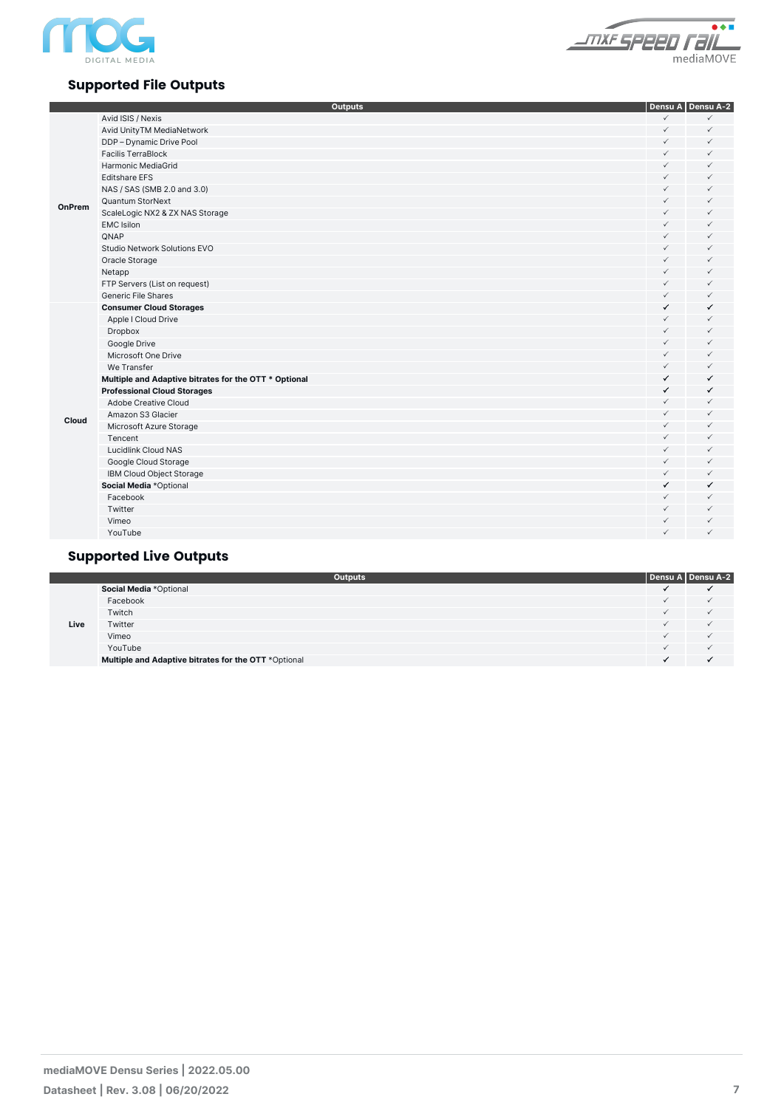



### **Supported File Outputs**

|        | <b>Outputs</b>                                        |              | Densu A Densu A-2 |
|--------|-------------------------------------------------------|--------------|-------------------|
|        | Avid ISIS / Nexis                                     | $\checkmark$ | $\checkmark$      |
|        | Avid UnityTM MediaNetwork                             | $\checkmark$ | $\checkmark$      |
|        | DDP - Dynamic Drive Pool                              | $\checkmark$ | $\checkmark$      |
|        | <b>Facilis TerraBlock</b>                             | $\checkmark$ | $\checkmark$      |
|        | Harmonic MediaGrid                                    | $\checkmark$ | $\checkmark$      |
|        | <b>Editshare EFS</b>                                  | $\checkmark$ | $\checkmark$      |
|        | NAS / SAS (SMB 2.0 and 3.0)                           | $\checkmark$ | $\checkmark$      |
|        | Quantum StorNext                                      | $\checkmark$ | $\checkmark$      |
| OnPrem | ScaleLogic NX2 & ZX NAS Storage                       | $\checkmark$ | $\checkmark$      |
|        | <b>EMC</b> Isilon                                     | $\checkmark$ | $\checkmark$      |
|        | <b>QNAP</b>                                           | $\checkmark$ | $\checkmark$      |
|        | Studio Network Solutions EVO                          | $\checkmark$ | $\checkmark$      |
|        | Oracle Storage                                        | $\checkmark$ | $\checkmark$      |
|        | Netapp                                                | $\checkmark$ | $\checkmark$      |
|        | FTP Servers (List on request)                         | $\checkmark$ | $\checkmark$      |
|        | <b>Generic File Shares</b>                            | $\checkmark$ | $\checkmark$      |
|        | <b>Consumer Cloud Storages</b>                        | ✓            | ✓                 |
|        | Apple I Cloud Drive                                   | $\checkmark$ | $\checkmark$      |
|        | Dropbox                                               | $\checkmark$ | $\checkmark$      |
|        | Google Drive                                          | $\checkmark$ | $\checkmark$      |
|        | Microsoft One Drive                                   | $\checkmark$ | $\checkmark$      |
|        | We Transfer                                           | $\checkmark$ | $\checkmark$      |
|        | Multiple and Adaptive bitrates for the OTT * Optional | ✓            | $\checkmark$      |
|        | <b>Professional Cloud Storages</b>                    | ✓            | $\checkmark$      |
|        | Adobe Creative Cloud                                  | $\checkmark$ | $\checkmark$      |
| Cloud  | Amazon S3 Glacier                                     | $\checkmark$ | $\checkmark$      |
|        | Microsoft Azure Storage                               | $\checkmark$ | $\checkmark$      |
|        | Tencent                                               | $\checkmark$ | $\checkmark$      |
|        | <b>Lucidlink Cloud NAS</b>                            | $\checkmark$ | $\checkmark$      |
|        | Google Cloud Storage                                  | $\checkmark$ | $\checkmark$      |
|        | IBM Cloud Object Storage                              | $\checkmark$ | $\checkmark$      |
|        | Social Media *Optional                                | ✓            | $\checkmark$      |
|        | Facebook                                              | $\checkmark$ | $\checkmark$      |
|        | Twitter                                               | $\checkmark$ | $\checkmark$      |
|        | Vimeo                                                 | $\checkmark$ | $\checkmark$      |
|        | YouTube                                               | $\checkmark$ | $\checkmark$      |

#### **Supported Live Outputs**

|      | <b>Outputs</b>                                       | Densu A Densu A-2 |
|------|------------------------------------------------------|-------------------|
|      | Social Media *Optional                               |                   |
|      | Facebook                                             |                   |
| Live | Twitch                                               |                   |
|      | Twitter                                              |                   |
|      | Vimeo                                                |                   |
|      | YouTube                                              |                   |
|      | Multiple and Adaptive bitrates for the OTT *Optional |                   |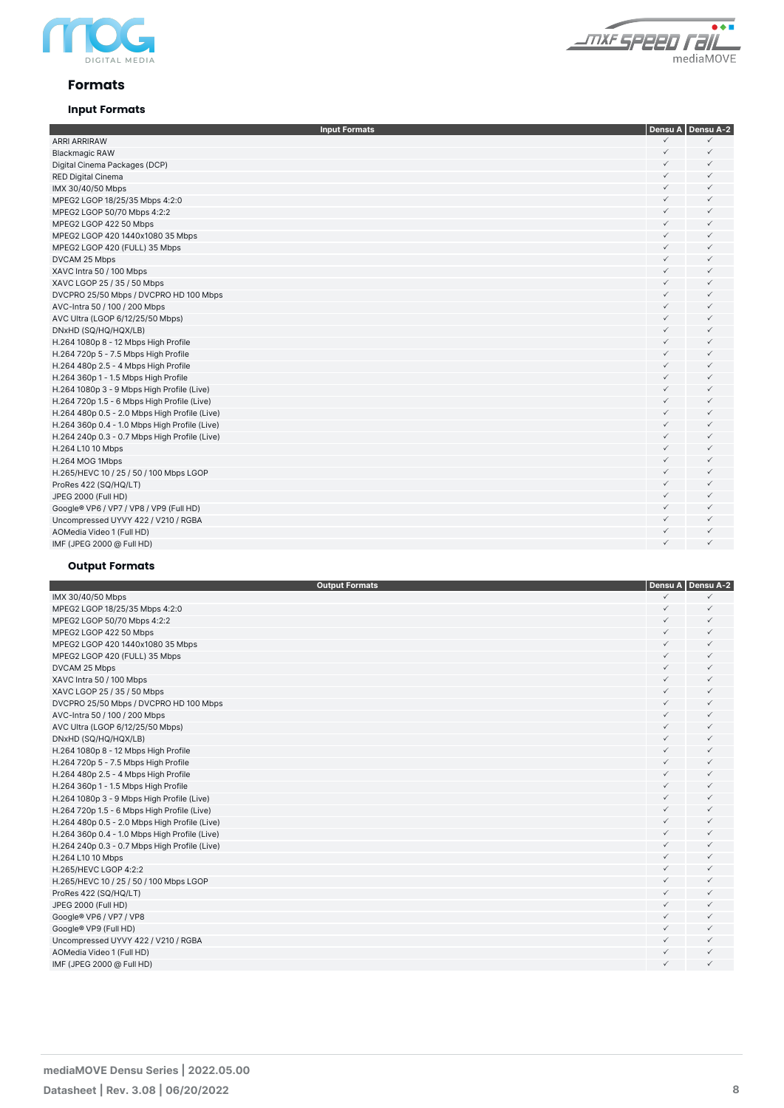



#### **Formats**

#### **Input Formats**

| <b>Input Formats</b>                          |              | Densu A   Densu A-2 |
|-----------------------------------------------|--------------|---------------------|
| <b>ARRI ARRIRAW</b>                           | $\checkmark$ | $\checkmark$        |
| <b>Blackmagic RAW</b>                         | $\checkmark$ | $\checkmark$        |
| Digital Cinema Packages (DCP)                 | ✓            | $\checkmark$        |
| <b>RED Digital Cinema</b>                     | ✓            | $\checkmark$        |
| IMX 30/40/50 Mbps                             | ✓            | $\checkmark$        |
| MPEG2 LGOP 18/25/35 Mbps 4:2:0                | ✓            | $\checkmark$        |
| MPEG2 LGOP 50/70 Mbps 4:2:2                   | $\checkmark$ | $\checkmark$        |
| MPEG2 LGOP 422 50 Mbps                        | $\checkmark$ | $\checkmark$        |
| MPEG2 LGOP 420 1440x1080 35 Mbps              | ✓            | $\checkmark$        |
| MPEG2 LGOP 420 (FULL) 35 Mbps                 | ✓            | $\checkmark$        |
| DVCAM 25 Mbps                                 | ✓            | $\checkmark$        |
| XAVC Intra 50 / 100 Mbps                      | ✓            | $\checkmark$        |
| XAVC LGOP 25 / 35 / 50 Mbps                   | ✓            | $\checkmark$        |
| DVCPRO 25/50 Mbps / DVCPRO HD 100 Mbps        | $\checkmark$ | $\checkmark$        |
| AVC-Intra 50 / 100 / 200 Mbps                 | $\checkmark$ | $\checkmark$        |
| AVC Ultra (LGOP 6/12/25/50 Mbps)              | ✓            | $\checkmark$        |
| DNxHD (SQ/HQ/HQX/LB)                          | ✓            | $\checkmark$        |
| H.264 1080p 8 - 12 Mbps High Profile          | ✓            | $\checkmark$        |
| H.264 720p 5 - 7.5 Mbps High Profile          | ✓            | $\checkmark$        |
| H.264 480p 2.5 - 4 Mbps High Profile          | ✓            | $\checkmark$        |
| H.264 360p 1 - 1.5 Mbps High Profile          | $\checkmark$ | $\checkmark$        |
| H.264 1080p 3 - 9 Mbps High Profile (Live)    | $\checkmark$ | $\checkmark$        |
| H.264 720p 1.5 - 6 Mbps High Profile (Live)   | $\checkmark$ | $\checkmark$        |
| H.264 480p 0.5 - 2.0 Mbps High Profile (Live) | $\checkmark$ | $\checkmark$        |
| H.264 360p 0.4 - 1.0 Mbps High Profile (Live) | $\checkmark$ | $\checkmark$        |
| H.264 240p 0.3 - 0.7 Mbps High Profile (Live) | ✓            | $\checkmark$        |
| H.264 L10 10 Mbps                             | $\checkmark$ | $\checkmark$        |
| H.264 MOG 1Mbps                               | ✓            | $\checkmark$        |
| H.265/HEVC 10 / 25 / 50 / 100 Mbps LGOP       | $\checkmark$ | $\checkmark$        |
| ProRes 422 (SQ/HQ/LT)                         | $\checkmark$ | $\checkmark$        |
| JPEG 2000 (Full HD)                           | $\checkmark$ | $\checkmark$        |
| Google® VP6 / VP7 / VP8 / VP9 (Full HD)       | ✓            | $\checkmark$        |
| Uncompressed UYVY 422 / V210 / RGBA           | $\checkmark$ | $\checkmark$        |
| AOMedia Video 1 (Full HD)                     | ✓            | $\checkmark$        |
| IMF (JPEG 2000 @ Full HD)                     | ✓            | $\checkmark$        |

#### **Output Formats**

| <b>Output Formats</b>                         |              | Densu A   Densu A-2 |
|-----------------------------------------------|--------------|---------------------|
| IMX 30/40/50 Mbps                             | $\checkmark$ |                     |
| MPEG2 LGOP 18/25/35 Mbps 4:2:0                | $\checkmark$ | $\checkmark$        |
| MPEG2 LGOP 50/70 Mbps 4:2:2                   | $\checkmark$ | $\checkmark$        |
| MPEG2 LGOP 422 50 Mbps                        | ✓            | $\checkmark$        |
| MPEG2 LGOP 420 1440x1080 35 Mbps              | $\checkmark$ | $\checkmark$        |
| MPEG2 LGOP 420 (FULL) 35 Mbps                 | ✓            | $\checkmark$        |
| DVCAM 25 Mbps                                 | $\checkmark$ | $\checkmark$        |
| XAVC Intra 50 / 100 Mbps                      | $\checkmark$ | $\checkmark$        |
| XAVC LGOP 25 / 35 / 50 Mbps                   | ✓            | $\checkmark$        |
| DVCPRO 25/50 Mbps / DVCPRO HD 100 Mbps        | ✓            | $\checkmark$        |
| AVC-Intra 50 / 100 / 200 Mbps                 | $\checkmark$ | $\checkmark$        |
| AVC Ultra (LGOP 6/12/25/50 Mbps)              | $\checkmark$ | $\checkmark$        |
| DNxHD (SQ/HQ/HQX/LB)                          | $\checkmark$ | $\checkmark$        |
| H.264 1080p 8 - 12 Mbps High Profile          | $\checkmark$ | $\checkmark$        |
| H.264 720p 5 - 7.5 Mbps High Profile          | ✓            | $\checkmark$        |
| H.264 480p 2.5 - 4 Mbps High Profile          | $\checkmark$ | $\checkmark$        |
| H.264 360p 1 - 1.5 Mbps High Profile          | $\checkmark$ | $\checkmark$        |
| H.264 1080p 3 - 9 Mbps High Profile (Live)    | $\checkmark$ | $\checkmark$        |
| H.264 720p 1.5 - 6 Mbps High Profile (Live)   | $\checkmark$ | $\checkmark$        |
| H.264 480p 0.5 - 2.0 Mbps High Profile (Live) | ✓            | $\checkmark$        |
| H.264 360p 0.4 - 1.0 Mbps High Profile (Live) | $\checkmark$ | $\checkmark$        |
| H.264 240p 0.3 - 0.7 Mbps High Profile (Live) | ✓            | $\checkmark$        |
| H.264 L10 10 Mbps                             | $\checkmark$ | $\checkmark$        |
| H.265/HEVC LGOP 4:2:2                         | $\checkmark$ | $\checkmark$        |
| H.265/HEVC 10 / 25 / 50 / 100 Mbps LGOP       | $\checkmark$ | $\checkmark$        |
| ProRes 422 (SQ/HQ/LT)                         | $\checkmark$ | $\checkmark$        |
| JPEG 2000 (Full HD)                           | ✓            | $\checkmark$        |
| Google® VP6 / VP7 / VP8                       | ✓            | $\checkmark$        |
| Google® VP9 (Full HD)                         | ✓            | $\checkmark$        |
| Uncompressed UYVY 422 / V210 / RGBA           | ✓            | $\checkmark$        |
| AOMedia Video 1 (Full HD)                     | $\checkmark$ | $\checkmark$        |
| IMF (JPEG 2000 @ Full HD)                     | $\checkmark$ | $\checkmark$        |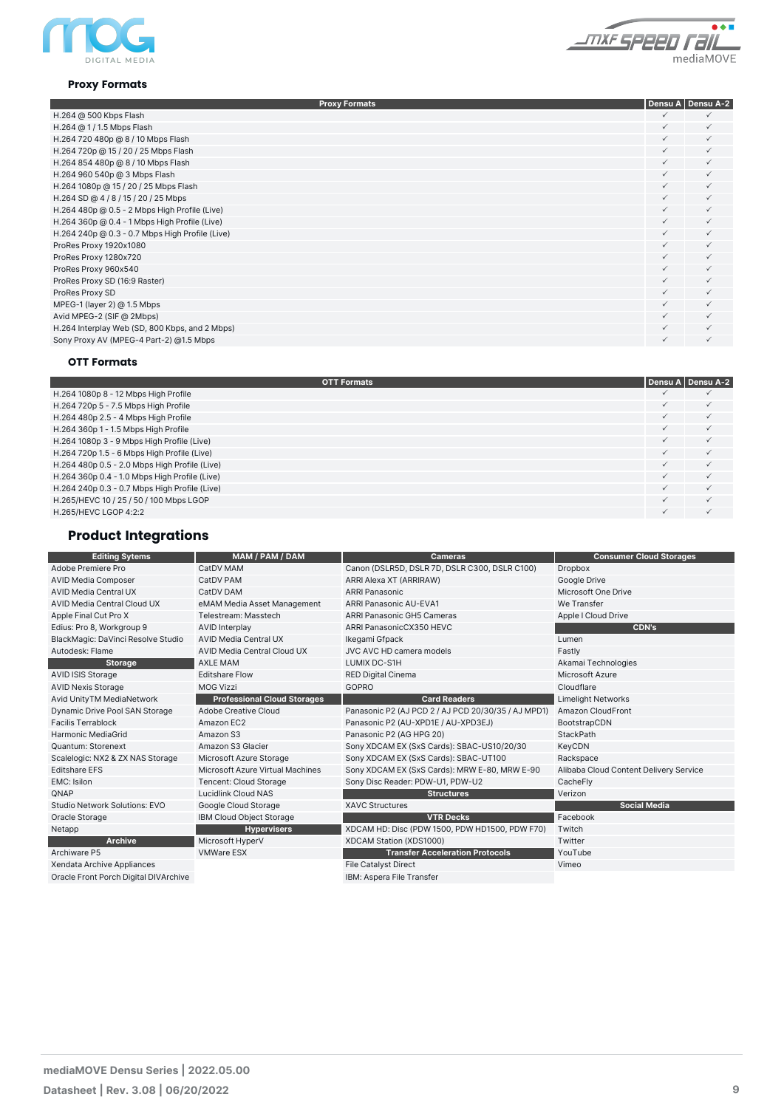

#### $\overline{\bullet}\overline{\bullet}\overline{\bullet}$ <u> *\_mxe speen raiL*</u> mediaMOVE

#### **Proxy Formats**

| <b>Proxy Formats</b>                            |              | Densu A   Densu A-2 |
|-------------------------------------------------|--------------|---------------------|
| H.264 @ 500 Kbps Flash                          | $\checkmark$ | $\checkmark$        |
| H.264 @ 1 / 1.5 Mbps Flash                      | $\checkmark$ | $\checkmark$        |
| H.264 720 480p @ 8 / 10 Mbps Flash              | $\checkmark$ | $\checkmark$        |
| H.264 720p @ 15 / 20 / 25 Mbps Flash            | $\checkmark$ | $\checkmark$        |
| H.264 854 480p @ 8 / 10 Mbps Flash              | $\checkmark$ | $\checkmark$        |
| H.264 960 540p @ 3 Mbps Flash                   | $\checkmark$ | $\checkmark$        |
| H.264 1080p @ 15 / 20 / 25 Mbps Flash           | $\checkmark$ | $\checkmark$        |
| H.264 SD @ 4 / 8 / 15 / 20 / 25 Mbps            | $\checkmark$ | $\checkmark$        |
| H.264 480p @ 0.5 - 2 Mbps High Profile (Live)   | $\checkmark$ | $\checkmark$        |
| H.264 360p @ 0.4 - 1 Mbps High Profile (Live)   | $\checkmark$ | $\checkmark$        |
| H.264 240p @ 0.3 - 0.7 Mbps High Profile (Live) | ✓            | $\checkmark$        |
| ProRes Proxy 1920x1080                          | $\checkmark$ | $\checkmark$        |
| ProRes Proxy 1280x720                           | ✓            | $\checkmark$        |
| ProRes Proxy 960x540                            | $\checkmark$ | $\checkmark$        |
| ProRes Proxy SD (16:9 Raster)                   | ✓            | $\checkmark$        |
| ProRes Proxy SD                                 | ✓            | $\checkmark$        |
| MPEG-1 (layer 2) @ 1.5 Mbps                     | ✓            | $\checkmark$        |
| Avid MPEG-2 (SIF @ 2Mbps)                       | $\checkmark$ | $\checkmark$        |
| H.264 Interplay Web (SD, 800 Kbps, and 2 Mbps)  | ✓            | $\checkmark$        |
| Sony Proxy AV (MPEG-4 Part-2) @1.5 Mbps         | ✓            | $\checkmark$        |
|                                                 |              |                     |

#### **OTT Formats**

| <b>OTT Formats</b>                            |   | Densu A   Densu A-2 |
|-----------------------------------------------|---|---------------------|
| H.264 1080p 8 - 12 Mbps High Profile          |   |                     |
| H.264 720p 5 - 7.5 Mbps High Profile          |   |                     |
| H.264 480p 2.5 - 4 Mbps High Profile          |   |                     |
| H.264 360p 1 - 1.5 Mbps High Profile          |   |                     |
| H.264 1080p 3 - 9 Mbps High Profile (Live)    | ✓ |                     |
| H.264 720p 1.5 - 6 Mbps High Profile (Live)   |   |                     |
| H.264 480p 0.5 - 2.0 Mbps High Profile (Live) |   |                     |
| H.264 360p 0.4 - 1.0 Mbps High Profile (Live) |   |                     |
| H.264 240p 0.3 - 0.7 Mbps High Profile (Live) |   |                     |
| H.265/HEVC 10 / 25 / 50 / 100 Mbps LGOP       |   |                     |
| H.265/HEVC LGOP 4:2:2                         |   |                     |

### **Product Integrations**

| <b>Editing Sytems</b>                 | MAM / PAM / DAM                    | <b>Cameras</b>                                      | <b>Consumer Cloud Storages</b>         |
|---------------------------------------|------------------------------------|-----------------------------------------------------|----------------------------------------|
| Adobe Premiere Pro                    | CatDV MAM                          | Canon (DSLR5D, DSLR 7D, DSLR C300, DSLR C100)       | Dropbox                                |
| <b>AVID Media Composer</b>            | CatDV PAM                          | ARRI Alexa XT (ARRIRAW)                             | Google Drive                           |
| <b>AVID Media Central UX</b>          | CatDV DAM                          | <b>ARRI Panasonic</b>                               | Microsoft One Drive                    |
| AVID Media Central Cloud UX           | eMAM Media Asset Management        | ARRI Panasonic AU-EVA1                              | We Transfer                            |
| Apple Final Cut Pro X                 | Telestream: Masstech               | <b>ARRI Panasonic GH5 Cameras</b>                   | Apple I Cloud Drive                    |
| Edius: Pro 8, Workgroup 9             | <b>AVID Interplay</b>              | ARRI PanasonicCX350 HEVC                            | <b>CDN's</b>                           |
| BlackMagic: DaVinci Resolve Studio    | AVID Media Central UX              | Ikegami Gfpack                                      | Lumen                                  |
| Autodesk: Flame                       | AVID Media Central Cloud UX        | JVC AVC HD camera models                            | Fastly                                 |
| <b>Storage</b>                        | <b>AXLE MAM</b>                    | LUMIX DC-S1H                                        | Akamai Technologies                    |
| AVID ISIS Storage                     | <b>Editshare Flow</b>              | <b>RED Digital Cinema</b>                           | Microsoft Azure                        |
| <b>AVID Nexis Storage</b>             | <b>MOG Vizzi</b>                   | GOPRO                                               | Cloudflare                             |
| Avid UnityTM MediaNetwork             | <b>Professional Cloud Storages</b> | <b>Card Readers</b>                                 | <b>Limelight Networks</b>              |
| Dynamic Drive Pool SAN Storage        | Adobe Creative Cloud               | Panasonic P2 (AJ PCD 2 / AJ PCD 20/30/35 / AJ MPD1) | Amazon CloudFront                      |
| <b>Facilis Terrablock</b>             | Amazon EC2                         | Panasonic P2 (AU-XPD1E / AU-XPD3EJ)                 | BootstrapCDN                           |
| <b>Harmonic MediaGrid</b>             | Amazon S3                          | Panasonic P2 (AG HPG 20)                            | StackPath                              |
| Quantum: Storenext                    | Amazon S3 Glacier                  | Sony XDCAM EX (SxS Cards): SBAC-US10/20/30          | KeyCDN                                 |
| Scalelogic: NX2 & ZX NAS Storage      | Microsoft Azure Storage            | Sony XDCAM EX (SxS Cards): SBAC-UT100               | Rackspace                              |
| <b>Editshare EFS</b>                  | Microsoft Azure Virtual Machines   | Sony XDCAM EX (SxS Cards): MRW E-80, MRW E-90       | Alibaba Cloud Content Delivery Service |
| EMC: Isilon                           | Tencent: Cloud Storage             | Sony Disc Reader: PDW-U1, PDW-U2                    | CacheFly                               |
| QNAP                                  | <b>Lucidlink Cloud NAS</b>         | <b>Structures</b>                                   | Verizon                                |
| Studio Network Solutions: EVO         | Google Cloud Storage               | <b>XAVC Structures</b>                              | <b>Social Media</b>                    |
| Oracle Storage                        | IBM Cloud Object Storage           | <b>VTR Decks</b>                                    | Facebook                               |
| Netapp                                | <b>Hypervisers</b>                 | XDCAM HD: Disc (PDW 1500, PDW HD1500, PDW F70)      | Twitch                                 |
| <b>Archive</b>                        | Microsoft HyperV                   | XDCAM Station (XDS1000)                             | Twitter                                |
| Archiware P5                          | <b>VMWare ESX</b>                  | <b>Transfer Acceleration Protocols</b>              | YouTube                                |
| Xendata Archive Appliances            |                                    | <b>File Catalyst Direct</b>                         | Vimeo                                  |
| Oracle Front Porch Digital DIVArchive |                                    | IBM: Aspera File Transfer                           |                                        |